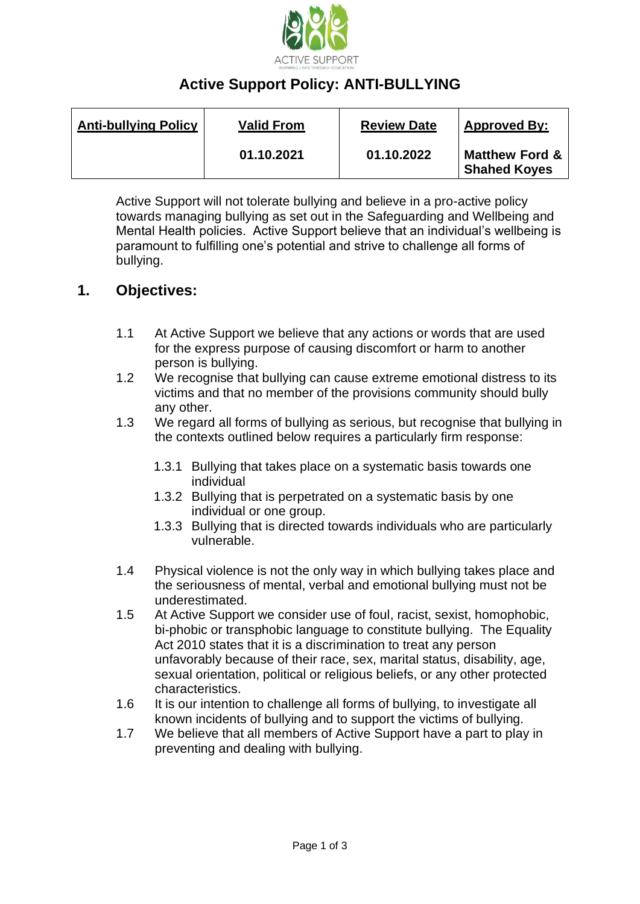

# **Active Support Policy: ANTI-BULLYING**

| <b>Anti-bullying Policy</b> | <b>Valid From</b> | <b>Review Date</b> | <b>Approved By:</b>                              |
|-----------------------------|-------------------|--------------------|--------------------------------------------------|
|                             | 01.10.2021        | 01.10.2022         | <b>Matthew Ford &amp;</b><br><b>Shahed Koyes</b> |

Active Support will not tolerate bullying and believe in a pro-active policy towards managing bullying as set out in the Safeguarding and Wellbeing and Mental Health policies. Active Support believe that an individual's wellbeing is paramount to fulfilling one's potential and strive to challenge all forms of bullying.

### **1. Objectives:**

- 1.1 At Active Support we believe that any actions or words that are used for the express purpose of causing discomfort or harm to another person is bullying.
- 1.2 We recognise that bullying can cause extreme emotional distress to its victims and that no member of the provisions community should bully any other.
- 1.3 We regard all forms of bullying as serious, but recognise that bullying in the contexts outlined below requires a particularly firm response:
	- 1.3.1 Bullying that takes place on a systematic basis towards one individual
	- 1.3.2 Bullying that is perpetrated on a systematic basis by one individual or one group.
	- 1.3.3 Bullying that is directed towards individuals who are particularly vulnerable.
- 1.4 Physical violence is not the only way in which bullying takes place and the seriousness of mental, verbal and emotional bullying must not be underestimated.
- 1.5 At Active Support we consider use of foul, racist, sexist, homophobic, bi-phobic or transphobic language to constitute bullying. The Equality Act 2010 states that it is a discrimination to treat any person unfavorably because of their race, sex, marital status, disability, age, sexual orientation, political or religious beliefs, or any other protected characteristics.
- 1.6 It is our intention to challenge all forms of bullying, to investigate all known incidents of bullying and to support the victims of bullying.
- 1.7 We believe that all members of Active Support have a part to play in preventing and dealing with bullying.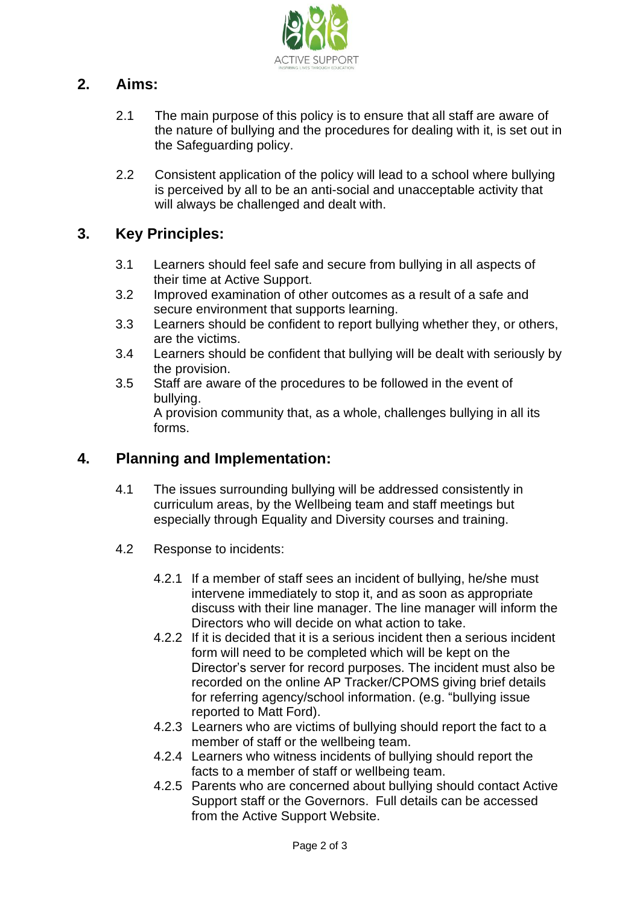

## **2. Aims:**

- 2.1 The main purpose of this policy is to ensure that all staff are aware of the nature of bullying and the procedures for dealing with it, is set out in the Safeguarding policy.
- 2.2 Consistent application of the policy will lead to a school where bullying is perceived by all to be an anti-social and unacceptable activity that will always be challenged and dealt with.

### **3. Key Principles:**

- 3.1 Learners should feel safe and secure from bullying in all aspects of their time at Active Support.
- 3.2 Improved examination of other outcomes as a result of a safe and secure environment that supports learning.
- 3.3 Learners should be confident to report bullying whether they, or others, are the victims.
- 3.4 Learners should be confident that bullying will be dealt with seriously by the provision.
- 3.5 Staff are aware of the procedures to be followed in the event of bullying.

A provision community that, as a whole, challenges bullying in all its forms.

### **4. Planning and Implementation:**

- 4.1 The issues surrounding bullying will be addressed consistently in curriculum areas, by the Wellbeing team and staff meetings but especially through Equality and Diversity courses and training.
- 4.2 Response to incidents:
	- 4.2.1 If a member of staff sees an incident of bullying, he/she must intervene immediately to stop it, and as soon as appropriate discuss with their line manager. The line manager will inform the Directors who will decide on what action to take.
	- 4.2.2 If it is decided that it is a serious incident then a serious incident form will need to be completed which will be kept on the Director's server for record purposes. The incident must also be recorded on the online AP Tracker/CPOMS giving brief details for referring agency/school information. (e.g. "bullying issue reported to Matt Ford).
	- 4.2.3 Learners who are victims of bullying should report the fact to a member of staff or the wellbeing team.
	- 4.2.4 Learners who witness incidents of bullying should report the facts to a member of staff or wellbeing team.
	- 4.2.5 Parents who are concerned about bullying should contact Active Support staff or the Governors. Full details can be accessed from the Active Support Website.